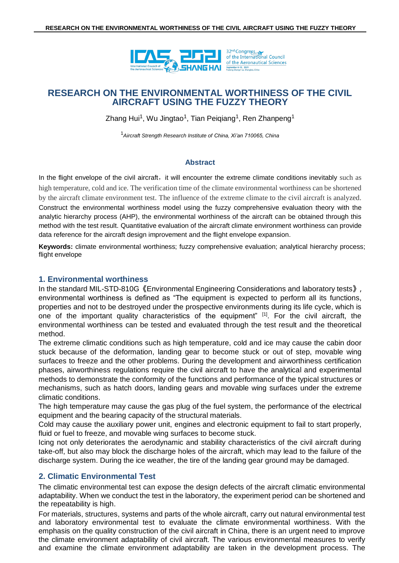

Zhang Hui<sup>1</sup>, Wu Jingtao<sup>1</sup>, Tian Peiqiang<sup>1</sup>, Ren Zhanpeng<sup>1</sup>

<sup>1</sup>*Aircraft Strength Research Institute of China, Xi'an 710065, China*

## **Abstract**

In the flight envelope of the civil aircraft, it will encounter the extreme climate conditions inevitably such as high temperature, cold and ice. The verification time of the climate environmental worthiness can be shortened by the aircraft climate environment test. The influence of the extreme climate to the civil aircraft is analyzed. Construct the environmental worthiness model using the fuzzy comprehensive evaluation theory with the analytic hierarchy process (AHP), the environmental worthiness of the aircraft can be obtained through this method with the test result. Quantitative evaluation of the aircraft climate environment worthiness can provide data reference for the aircraft design improvement and the flight envelope expansion.

**Keywords:** climate environmental worthiness; fuzzy comprehensive evaluation; analytical hierarchy process; flight envelope

# **1. Environmental worthiness**

In the standard MIL-STD-810G《Environmental Engineering Considerations and laboratory tests》, environmental worthiness is defined as "The equipment is expected to perform all its functions, properties and not to be destroyed under the prospective environments during its life cycle, which is one of the important quality characteristics of the equipment" <sup>[1]</sup>. For the civil aircraft, the environmental worthiness can be tested and evaluated through the test result and the theoretical method.

The extreme climatic conditions such as high temperature, cold and ice may cause the cabin door stuck because of the deformation, landing gear to become stuck or out of step, movable wing surfaces to freeze and the other problems. During the development and airworthiness certification phases, airworthiness regulations require the civil aircraft to have the analytical and experimental methods to demonstrate the conformity of the functions and performance of the typical structures or mechanisms, such as hatch doors, landing gears and movable wing surfaces under the extreme climatic conditions.

The high temperature may cause the gas plug of the fuel system, the performance of the electrical equipment and the bearing capacity of the structural materials.

Cold may cause the auxiliary power unit, engines and electronic equipment to fail to start properly, fluid or fuel to freeze, and movable wing surfaces to become stuck.

Icing not only deteriorates the aerodynamic and stability characteristics of the civil aircraft during take-off, but also may block the discharge holes of the aircraft, which may lead to the failure of the discharge system. During the ice weather, the tire of the landing gear ground may be damaged.

# **2. Climatic Environmental Test**

The climatic environmental test can expose the design defects of the aircraft climatic environmental adaptability. When we conduct the test in the laboratory, the experiment period can be shortened and the repeatability is high.

For materials, structures, systems and parts of the whole aircraft, carry out natural environmental test and laboratory environmental test to evaluate the climate environmental worthiness. With the emphasis on the quality construction of the civil aircraft in China, there is an urgent need to improve the climate environment adaptability of civil aircraft. The various environmental measures to verify and examine the climate environment adaptability are taken in the development process. The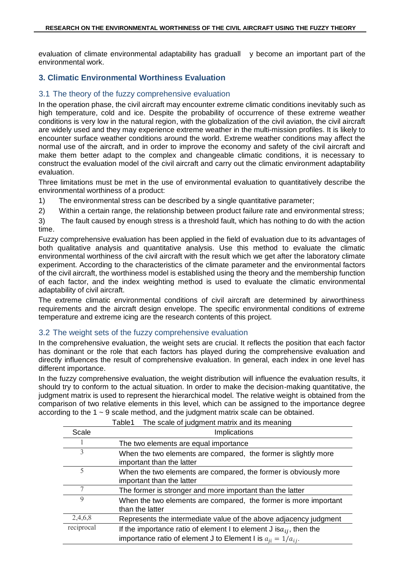evaluation of climate environmental adaptability has graduall y become an important part of the environmental work.

# **3. Climatic Environmental Worthiness Evaluation**

# 3.1 The theory of the fuzzy comprehensive evaluation

In the operation phase, the civil aircraft may encounter extreme climatic conditions inevitably such as high temperature, cold and ice. Despite the probability of occurrence of these extreme weather conditions is very low in the natural region, with the globalization of the civil aviation, the civil aircraft are widely used and they may experience extreme weather in the multi-mission profiles. It is likely to encounter surface weather conditions around the world. Extreme weather conditions may affect the normal use of the aircraft, and in order to improve the economy and safety of the civil aircraft and make them better adapt to the complex and changeable climatic conditions, it is necessary to construct the evaluation model of the civil aircraft and carry out the climatic environment adaptability evaluation.

Three limitations must be met in the use of environmental evaluation to quantitatively describe the environmental worthiness of a product:

1) The environmental stress can be described by a single quantitative parameter;

2) Within a certain range, the relationship between product failure rate and environmental stress;

3) The fault caused by enough stress is a threshold fault, which has nothing to do with the action time.

Fuzzy comprehensive evaluation has been applied in the field of evaluation due to its advantages of both qualitative analysis and quantitative analysis. Use this method to evaluate the climatic environmental worthiness of the civil aircraft with the result which we get after the laboratory climate experiment. According to the characteristics of the climate parameter and the environmental factors of the civil aircraft, the worthiness model is established using the theory and the membership function of each factor, and the index weighting method is used to evaluate the climatic environmental adaptability of civil aircraft.

The extreme climatic environmental conditions of civil aircraft are determined by airworthiness requirements and the aircraft design envelope. The specific environmental conditions of extreme temperature and extreme icing are the research contents of this project.

## 3.2 The weight sets of the fuzzy comprehensive evaluation

In the comprehensive evaluation, the weight sets are crucial. It reflects the position that each factor has dominant or the role that each factors has played during the comprehensive evaluation and directly influences the result of comprehensive evaluation. In general, each index in one level has different importance.

In the fuzzy comprehensive evaluation, the weight distribution will influence the evaluation results, it should try to conform to the actual situation. In order to make the decision-making quantitative, the judgment matrix is used to represent the hierarchical model. The relative weight is obtained from the comparison of two relative elements in this level, which can be assigned to the importance degree according to the 1 ~ 9 scale method, and the judgment matrix scale can be obtained.

|             | The scale of judgment matrix and its meaning<br>Table1                                                                                          |  |  |  |
|-------------|-------------------------------------------------------------------------------------------------------------------------------------------------|--|--|--|
| Scale       | Implications                                                                                                                                    |  |  |  |
|             | The two elements are equal importance                                                                                                           |  |  |  |
| 3           | When the two elements are compared, the former is slightly more<br>important than the latter                                                    |  |  |  |
| $\varsigma$ | When the two elements are compared, the former is obviously more<br>important than the latter                                                   |  |  |  |
| 7           | The former is stronger and more important than the latter                                                                                       |  |  |  |
| 9           | When the two elements are compared, the former is more important<br>than the latter                                                             |  |  |  |
| 2,4,6,8     | Represents the intermediate value of the above adjacency judgment                                                                               |  |  |  |
| reciprocal  | If the importance ratio of element I to element J is $a_{ij}$ , then the<br>importance ratio of element J to Element I is $a_{ji} = 1/a_{ij}$ . |  |  |  |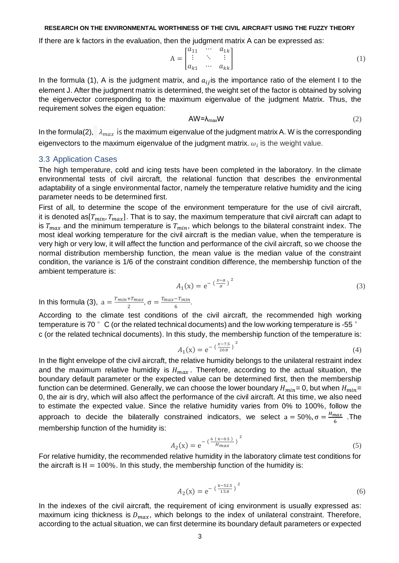If there are k factors in the evaluation, then the judgment matrix A can be expressed as:

$$
A = \begin{bmatrix} a_{11} & \cdots & a_{1k} \\ \vdots & \ddots & \vdots \\ a_{k1} & \cdots & a_{kk} \end{bmatrix}
$$
 (1)

In the formula (1), A is the judgment matrix, and  $a_{ij}$  is the importance ratio of the element I to the element J. After the judgment matrix is determined, the weight set of the factor is obtained by solving the eigenvector corresponding to the maximum eigenvalue of the judgment Matrix. Thus, the requirement solves the eigen equation:

$$
AW = \lambda_{\text{max}} W \tag{2}
$$

In the formula(2),  $\lambda_{max}$  is the maximum eigenvalue of the judgment matrix A. W is the corresponding eigenvectors to the maximum eigenvalue of the judgment matrix.  $\omega_i$  is the weight value.

### 3.3 Application Cases

The high temperature, cold and icing tests have been completed in the laboratory. In the climate environmental tests of civil aircraft, the relational function that describes the environmental adaptability of a single environmental factor, namely the temperature relative humidity and the icing parameter needs to be determined first.

First of all, to determine the scope of the environment temperature for the use of civil aircraft, it is denoted as $[T_{min}, T_{max}]$ . That is to say, the maximum temperature that civil aircraft can adapt to is  $T_{max}$  and the minimum temperature is  $T_{min}$ , which belongs to the bilateral constraint index. The most ideal working temperature for the civil aircraft is the median value, when the temperature is very high or very low, it will affect the function and performance of the civil aircraft, so we choose the normal distribution membership function, the mean value is the median value of the constraint condition, the variance is 1/6 of the constraint condition difference, the membership function of the ambient temperature is:

$$
A_1(\mathbf{x}) = e^{-\left(\frac{x-a}{\sigma}\right)^2} \tag{3}
$$

In this formula (3),  $a = \frac{T_{min} + T_{max}}{2}$  $\frac{+T_{max}}{2}$ ,  $\sigma = \frac{T_{max}-T_{min}}{6}$  $\frac{-1 \text{ min}}{6}$ .

According to the climate test conditions of the civil aircraft, the recommended high working temperature is 70  $\degree$  C (or the related technical documents) and the low working temperature is -55  $\degree$ c (or the related technical documents). In this study, the membership function of the temperature is:

$$
A_1(x) = e^{-\left(\frac{x-7.5}{20.8}\right)^2}
$$
 (4)

In the flight envelope of the civil aircraft, the relative humidity belongs to the unilateral restraint index and the maximum relative humidity is  $H_{max}$ . Therefore, according to the actual situation, the boundary default parameter or the expected value can be determined first, then the membership function can be determined. Generally, we can choose the lower boundary  $H_{min} = 0$ , but when  $H_{min} =$ 0, the air is dry, which will also affect the performance of the civil aircraft. At this time, we also need to estimate the expected value. Since the relative humidity varies from 0% to 100%, follow the approach to decide the bilaterally constrained indicators, we select  $a = 50\%$ ,  $\sigma = \frac{H_{max}}{2\pi}$  $\frac{max}{6}$  .The membership function of the humidity is:

$$
A_2(x) = e^{-\left(\frac{6(x-0.5)}{H_{max}}\right)^2}
$$
 (5)

For relative humidity, the recommended relative humidity in the laboratory climate test conditions for the aircraft is  $H = 100\%$ . In this study, the membership function of the humidity is:

$$
A_2(x) = e^{-\left(\frac{x-52.5}{15.8}\right)^2}
$$
 (6)

In the indexes of the civil aircraft, the requirement of icing environment is usually expressed as: maximum icing thickness is  $D_{max}$ , which belongs to the index of unilateral constraint. Therefore, according to the actual situation, we can first determine its boundary default parameters or expected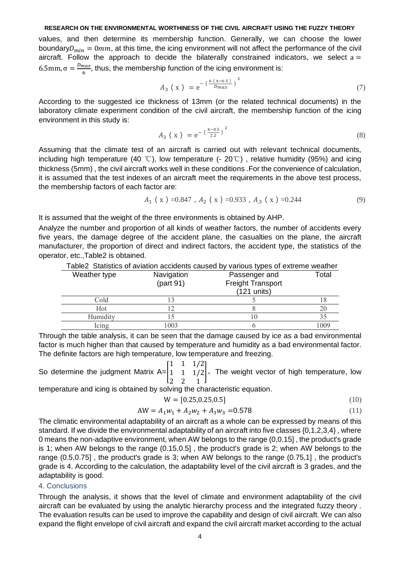values, and then determine its membership function. Generally, we can choose the lower boundary  $D_{min} = 0$  mm, at this time, the icing environment will not affect the performance of the civil aircraft. Follow the approach to decide the bilaterally constrained indicators, we select  $a =$ 6.5mm, σ =  $\frac{D_{max}}{6}$  $\frac{max}{6}$ , thus, the membership function of the icing environment is:

$$
A_3 (x) = e^{-\left(\frac{6(x-6.5)}{D_{max}}\right)^2}
$$
 (7)

According to the suggested ice thickness of 13mm (or the related technical documents) in the laboratory climate experiment condition of the civil aircraft, the membership function of the icing environment in this study is:

$$
A_3 (x) = e^{-\left(\frac{x-0.5}{2.2}\right)^2}
$$
 (8)

Assuming that the climate test of an aircraft is carried out with relevant technical documents, including high temperature (40 °C), low temperature (-  $20^{\circ}$ ), relative humidity (95%) and icing thickness (5mm) , the civil aircraft works well in these conditions .For the convenience of calculation, it is assumed that the test indexes of an aircraft meet the requirements in the above test process, the membership factors of each factor are:

$$
A_1 \ (x) = 0.847 \ , \ A_2 \ (x) = 0.933 \ , \ A_{,3} \ (x) = 0.244 \tag{9}
$$

It is assumed that the weight of the three environments is obtained by AHP.

Analyze the number and proportion of all kinds of weather factors, the number of accidents every five years, the damage degree of the accident plane, the casualties on the plane, the aircraft manufacturer, the proportion of direct and indirect factors, the accident type, the statistics of the operator, etc.,Table2 is obtained.

| Table2 Statistics of aviation accidents caused by various types of extreme weather |            |                          |       |  |
|------------------------------------------------------------------------------------|------------|--------------------------|-------|--|
| Weather type                                                                       | Navigation | Passenger and            | Total |  |
|                                                                                    | (part 91)  | <b>Freight Transport</b> |       |  |
|                                                                                    |            | $(121$ units)            |       |  |
| Cold                                                                               |            |                          |       |  |
| Hot                                                                                |            |                          | 20    |  |
| Humidity                                                                           |            | I ()                     |       |  |
| Icing                                                                              | 003        |                          | 1009  |  |

Table2 Statistics of aviation accidents caused by various types of extreme weather

Through the table analysis, it can be seen that the damage caused by ice as a bad environmental factor is much higher than that caused by temperature and humidity as a bad environmental factor. The definite factors are high temperature, low temperature and freezing.

$$
1 \quad 1 \quad 1/2
$$

So determine the judgment Matrix A=[  $1 \quad 1 \quad 1/2$ , The weight vector of high temperature, low  $\begin{bmatrix} 2 & 2 & 1 \end{bmatrix}$ 

temperature and icing is obtained by solving the characteristic equation.

$$
W = [0.25, 0.25, 0.5] \tag{10}
$$

$$
AW = A_1 w_1 + A_2 w_2 + A_3 w_3 = 0.578
$$
\n<sup>(11)</sup>

The climatic environmental adaptability of an aircraft as a whole can be expressed by means of this standard. If we divide the environmental adaptability of an aircraft into five classes {0,1,2,3,4} , where 0 means the non-adaptive environment, when AW belongs to the range (0,0.15] , the product's grade is 1; when AW belongs to the range (0.15,0.5] , the product's grade is 2; when AW belongs to the range (0.5,0.75] , the product's grade is 3; when AW belongs to the range (0.75,1] , the product's grade is 4. According to the calculation, the adaptability level of the civil aircraft is 3 grades, and the adaptability is good.

### 4. Conclusions

Through the analysis, it shows that the level of climate and environment adaptability of the civil aircraft can be evaluated by using the analytic hierarchy process and the integrated fuzzy theory . The evaluation results can be used to improve the capability and design of civil aircraft. We can also expand the flight envelope of civil aircraft and expand the civil aircraft market according to the actual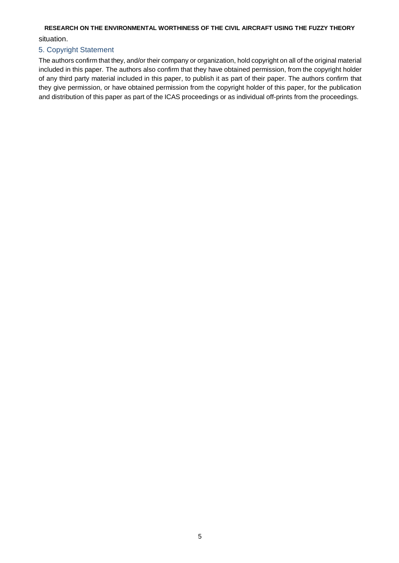situation.

# 5. Copyright Statement

The authors confirm that they, and/or their company or organization, hold copyright on all of the original material included in this paper. The authors also confirm that they have obtained permission, from the copyright holder of any third party material included in this paper, to publish it as part of their paper. The authors confirm that they give permission, or have obtained permission from the copyright holder of this paper, for the publication and distribution of this paper as part of the ICAS proceedings or as individual off-prints from the proceedings.